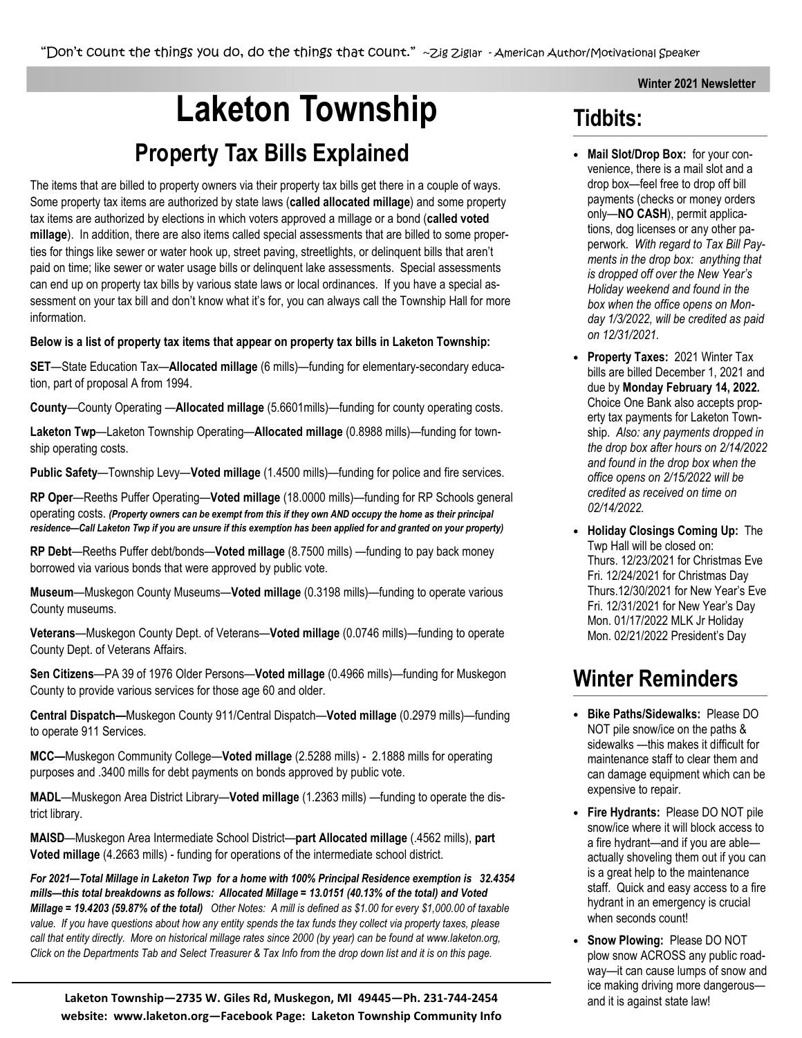#### Winter 2021 Newsletter

# Laketon Township Tidbits: Property Tax Bills Explained

The items that are billed to property owners via their property tax bills get there in a couple of ways. Some property tax items are authorized by state laws (called allocated millage) and some property tax items are authorized by elections in which voters approved a millage or a bond (called voted millage). In addition, there are also items called special assessments that are billed to some properties for things like sewer or water hook up, street paving, streetlights, or delinquent bills that aren't paid on time; like sewer or water usage bills or delinquent lake assessments. Special assessments can end up on property tax bills by various state laws or local ordinances. If you have a special assessment on your tax bill and don't know what it's for, you can always call the Township Hall for more information.

#### Below is a list of property tax items that appear on property tax bills in Laketon Township:

SET—State Education Tax—Allocated millage (6 mills)—funding for elementary-secondary education, part of proposal A from 1994.

County—County Operating —Allocated millage (5.6601mills)—funding for county operating costs.

Laketon Twp-Laketon Township Operating-Allocated millage (0.8988 mills)-funding for township operating costs.

Public Safety—Township Levy—Voted millage (1.4500 mills)—funding for police and fire services.

RP Oper—Reeths Puffer Operating—Voted millage (18.0000 mills)—funding for RP Schools general operating costs. (Property owners can be exempt from this if they own AND occupy the home as their principal residence—Call Laketon Twp if you are unsure if this exemption has been applied for and granted on your property)

RP Debt—Reeths Puffer debt/bonds—Voted millage (8.7500 mills) —funding to pay back money borrowed via various bonds that were approved by public vote.

Museum—Muskegon County Museums—Voted millage (0.3198 mills)—funding to operate various County museums.

Veterans—Muskegon County Dept. of Veterans—Voted millage (0.0746 mills)—funding to operate County Dept. of Veterans Affairs.

Sen Citizens—PA 39 of 1976 Older Persons—Voted millage (0.4966 mills)—funding for Muskegon County to provide various services for those age 60 and older.

Central Dispatch—Muskegon County 911/Central Dispatch—Voted millage (0.2979 mills)—funding to operate 911 Services.

MCC—Muskegon Community College—Voted millage (2.5288 mills) - 2.1888 mills for operating purposes and .3400 mills for debt payments on bonds approved by public vote.

MADL—Muskegon Area District Library—Voted millage (1.2363 mills) —funding to operate the district library.

MAISD—Muskegon Area Intermediate School District—part Allocated millage (.4562 mills), part Voted millage (4.2663 mills) - funding for operations of the intermediate school district.

For 2021—Total Millage in Laketon Twp for a home with 100% Principal Residence exemption is 32.4354 mills—this total breakdowns as follows: Allocated Millage = 13.0151 (40.13% of the total) and Voted Millage = 19.4203 (59.87% of the total) Other Notes: A mill is defined as \$1.00 for every \$1,000.00 of taxable value. If you have questions about how any entity spends the tax funds they collect via property taxes, please call that entity directly. More on historical millage rates since 2000 (by year) can be found at www.laketon.org, Click on the Departments Tab and Select Treasurer & Tax Info from the drop down list and it is on this page.

Laketon Township—2735 W. Giles Rd, Muskegon, MI 49445—Ph. 231-744-2454 website: www.laketon.org—Facebook Page: Laketon Township Community Info

- Mail Slot/Drop Box: for your convenience, there is a mail slot and a drop box—feel free to drop off bill payments (checks or money orders only—NO CASH), permit applications, dog licenses or any other paperwork. With regard to Tax Bill Payments in the drop box: anything that is dropped off over the New Year's Holiday weekend and found in the box when the office opens on Monday 1/3/2022, will be credited as paid on 12/31/2021.
- Property Taxes: 2021 Winter Tax bills are billed December 1, 2021 and due by Monday February 14, 2022. Choice One Bank also accepts property tax payments for Laketon Township. Also: any payments dropped in the drop box after hours on 2/14/2022 and found in the drop box when the office opens on 2/15/2022 will be credited as received on time on 02/14/2022.
- Holiday Closings Coming Up: The Twp Hall will be closed on: Thurs. 12/23/2021 for Christmas Eve Fri. 12/24/2021 for Christmas Day Thurs.12/30/2021 for New Year's Eve Fri. 12/31/2021 for New Year's Day Mon. 01/17/2022 MLK Jr Holiday Mon. 02/21/2022 President's Day

# Winter Reminders

- Bike Paths/Sidewalks: Please DO NOT pile snow/ice on the paths & sidewalks —this makes it difficult for maintenance staff to clear them and can damage equipment which can be expensive to repair.
- Fire Hydrants: Please DO NOT pile snow/ice where it will block access to a fire hydrant—and if you are able actually shoveling them out if you can is a great help to the maintenance staff. Quick and easy access to a fire hydrant in an emergency is crucial when seconds count!
- Snow Plowing: Please DO NOT plow snow ACROSS any public roadway—it can cause lumps of snow and ice making driving more dangerous and it is against state law!